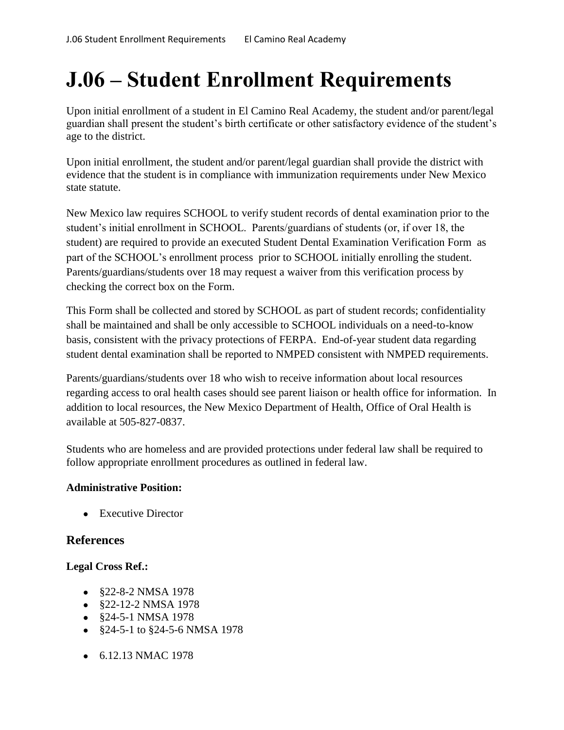# **J.06 – Student Enrollment Requirements**

Upon initial enrollment of a student in El Camino Real Academy, the student and/or parent/legal guardian shall present the student's birth certificate or other satisfactory evidence of the student's age to the district.

Upon initial enrollment, the student and/or parent/legal guardian shall provide the district with evidence that the student is in compliance with immunization requirements under New Mexico state statute.

New Mexico law requires SCHOOL to verify student records of dental examination prior to the student's initial enrollment in SCHOOL. Parents/guardians of students (or, if over 18, the student) are required to provide an executed Student Dental Examination Verification Form as part of the SCHOOL's enrollment process prior to SCHOOL initially enrolling the student. Parents/guardians/students over 18 may request a waiver from this verification process by checking the correct box on the Form.

This Form shall be collected and stored by SCHOOL as part of student records; confidentiality shall be maintained and shall be only accessible to SCHOOL individuals on a need-to-know basis, consistent with the privacy protections of FERPA. End-of-year student data regarding student dental examination shall be reported to NMPED consistent with NMPED requirements.

Parents/guardians/students over 18 who wish to receive information about local resources regarding access to oral health cases should see parent liaison or health office for information. In addition to local resources, the New Mexico Department of Health, Office of Oral Health is available at 505-827-0837.

Students who are homeless and are provided protections under federal law shall be required to follow appropriate enrollment procedures as outlined in federal law.

### **Administrative Position:**

• Executive Director

## **References**

#### **Legal Cross Ref.:**

- §22-8-2 NMSA 1978
- §22-12-2 NMSA 1978
- §24-5-1 NMSA 1978
- §24-5-1 to §24-5-6 NMSA 1978
- 6.12.13 NMAC 1978